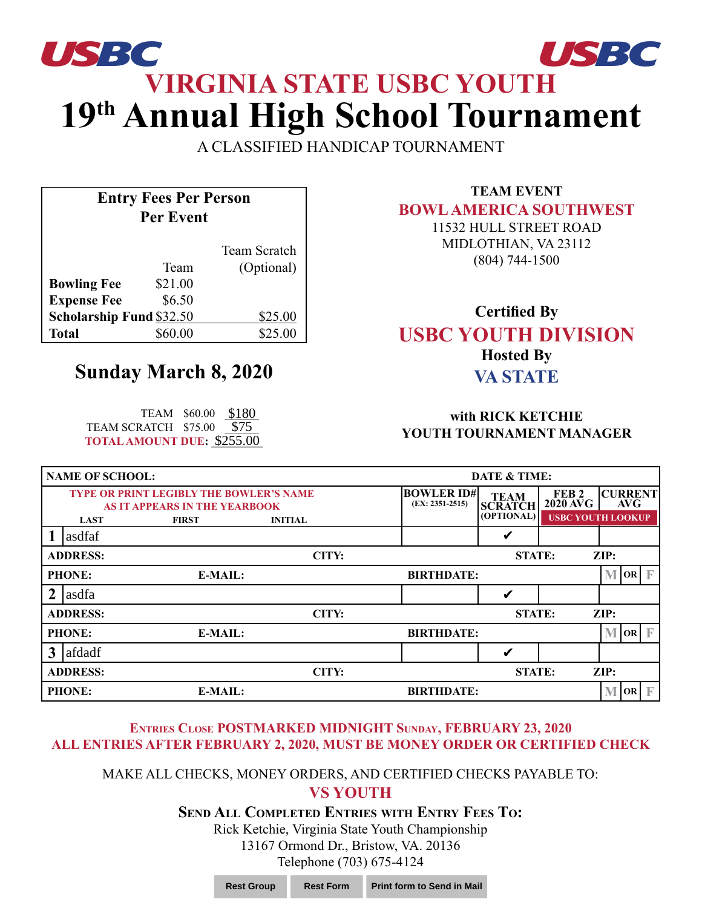# **VIRGINIA STATE USBC YOUTH 19th Annual High School Tournament** *USBC USBC*

A CLASSIFIED HANDICAP TOURNAMENT

## **Entry Fees Per Person Per Event**

|                                 |         | Team Scratch |
|---------------------------------|---------|--------------|
|                                 | Team    | (Optional)   |
| <b>Bowling Fee</b>              | \$21.00 |              |
| <b>Expense Fee</b>              | \$6.50  |              |
| <b>Scholarship Fund \$32.50</b> |         | \$25.00      |
| Total                           | \$60.00 | \$25.00      |

# **Sunday March 8, 2020**

TEAM \$60.00 <u>\$180</u><br>!ATCH \$75.00 <u>\$75</u><br><mark>1OUNT DUE: <u>\$255.00</u></mark> TEAM SCRATCH \$75.00 \$75 **TOTAL AMOUNT DUE: \$255.00** 

**TEAM EVENT BOWL AMERICA SOUTHWEST**

11532 HULL STREET ROAD MIDLOTHIAN, VA 23112 (804) 744-1500

### **Certified By USBC YOUTH DIVISION Hosted By VA STATE**

#### **with RICK KETCHIE YOUTH TOURNAMENT MANAGER**

| <b>NAME OF SCHOOL:</b> |                                                                                 |                | <b>DATE &amp; TIME:</b>                |                               |                                                  |                                                                    |
|------------------------|---------------------------------------------------------------------------------|----------------|----------------------------------------|-------------------------------|--------------------------------------------------|--------------------------------------------------------------------|
|                        | <b>TYPE OR PRINT LEGIBLY THE BOWLER'S NAME</b><br>AS IT APPEARS IN THE YEARBOOK |                | <b>BOWLER ID#</b><br>$(EX: 2351-2515)$ | <b>TEAM</b><br><b>SCRATCH</b> | FEB <sub>2</sub><br>$2020 \overline{\text{AVG}}$ | <b>CURRENT</b><br><b>AVG</b>                                       |
| <b>LAST</b>            | <b>FIRST</b>                                                                    | <b>INITIAL</b> |                                        | (OPTIONAL)                    |                                                  | <b>USBC YOUTH LOOKUP</b>                                           |
| asdfaf                 |                                                                                 |                |                                        | V                             |                                                  |                                                                    |
| <b>ADDRESS:</b>        |                                                                                 | CITY:          |                                        | <b>STATE:</b>                 |                                                  | $\mathbf{ZIP:}$                                                    |
| <b>PHONE:</b>          | <b>E-MAIL:</b>                                                                  |                | <b>BIRTHDATE:</b>                      |                               |                                                  | $\sqrt{\mathbf{OR}}$ $\mathbb{F}$<br>M                             |
| asdfa                  |                                                                                 |                |                                        | V                             |                                                  |                                                                    |
| <b>ADDRESS:</b>        |                                                                                 | CITY:          |                                        | <b>STATE:</b>                 |                                                  | $\mathbf{ZIP:}$                                                    |
| <b>PHONE:</b>          | <b>E-MAIL:</b>                                                                  |                | <b>BIRTHDATE:</b>                      |                               |                                                  | $\overline{\mathbf{O}}$ $\mathbf{OR}$ $\overline{\mathbf{F}}$<br>M |
| afdadf<br>3            |                                                                                 |                |                                        | V                             |                                                  |                                                                    |
| <b>ADDRESS:</b>        |                                                                                 | CITY:          |                                        | <b>STATE:</b>                 |                                                  | ZIP:                                                               |
| <b>PHONE:</b>          | E-MAIL:                                                                         |                | <b>BIRTHDATE:</b>                      |                               |                                                  | $\mathbf{F}$<br>M<br> OR                                           |

#### **Entries Close POSTMARKED MIDNIGHT Sunday, FEBRUARY 23, 2020 ALL ENTRIES AFTER FEBRUARY 2, 2020, MUST BE MONEY ORDER OR CERTIFIED CHECK**

#### MAKE ALL CHECKS, MONEY ORDERS, AND CERTIFIED CHECKS PAYABLE TO: **VS YOUTH**

**Send All Completed Entries with Entry Fees To:**

Rick Ketchie, Virginia State Youth Championship 13167 Ormond Dr., Bristow, VA. 20136 Telephone (703) 675-4124